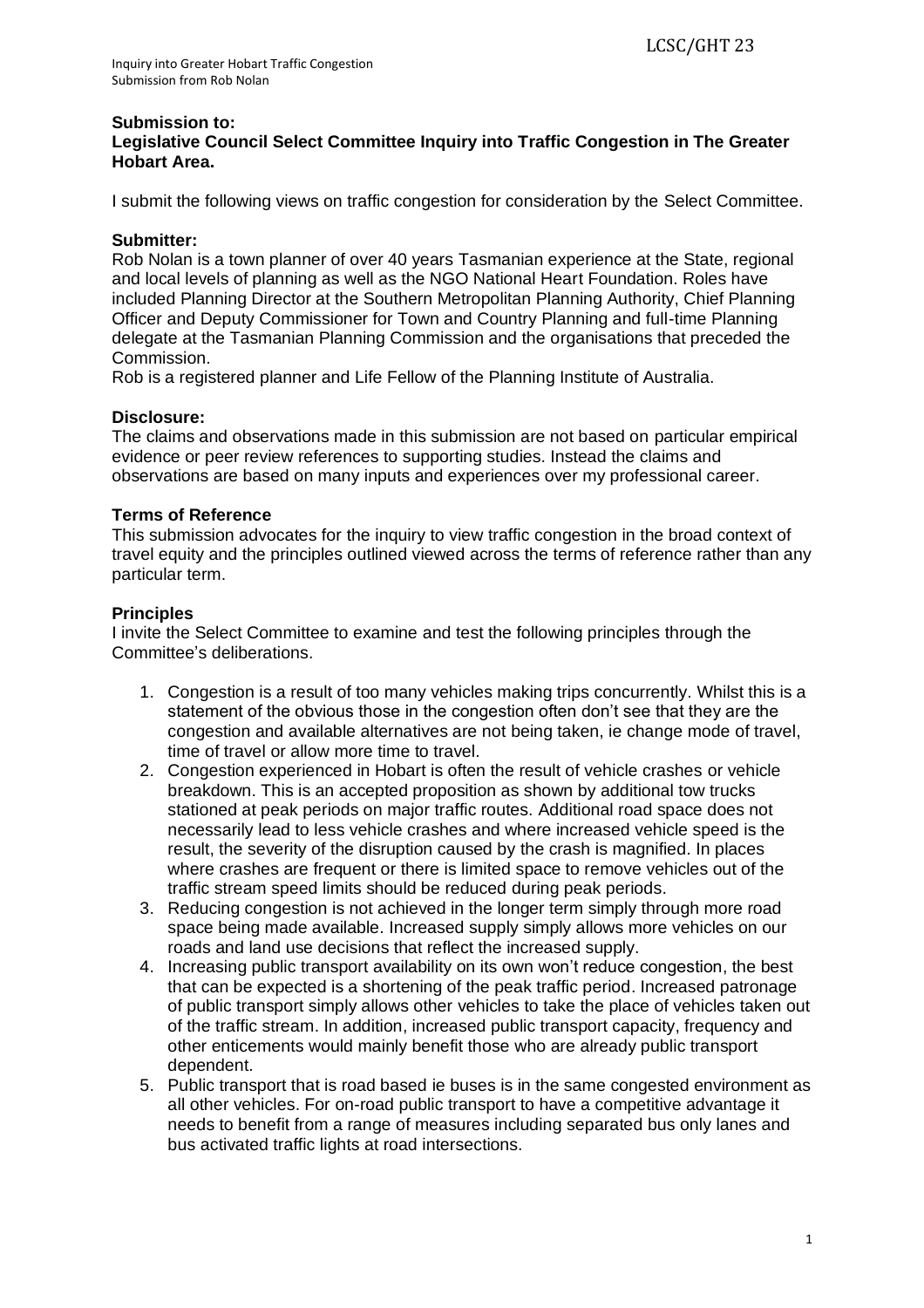#### **Submission to: Legislative Council Select Committee Inquiry into Traffic Congestion in The Greater Hobart Area.**

I submit the following views on traffic congestion for consideration by the Select Committee.

## **Submitter:**

Rob Nolan is a town planner of over 40 years Tasmanian experience at the State, regional and local levels of planning as well as the NGO National Heart Foundation. Roles have included Planning Director at the Southern Metropolitan Planning Authority, Chief Planning Officer and Deputy Commissioner for Town and Country Planning and full-time Planning delegate at the Tasmanian Planning Commission and the organisations that preceded the Commission.

Rob is a registered planner and Life Fellow of the Planning Institute of Australia.

## **Disclosure:**

The claims and observations made in this submission are not based on particular empirical evidence or peer review references to supporting studies. Instead the claims and observations are based on many inputs and experiences over my professional career.

## **Terms of Reference**

This submission advocates for the inquiry to view traffic congestion in the broad context of travel equity and the principles outlined viewed across the terms of reference rather than any particular term.

## **Principles**

I invite the Select Committee to examine and test the following principles through the Committee's deliberations.

- 1. Congestion is a result of too many vehicles making trips concurrently. Whilst this is a statement of the obvious those in the congestion often don't see that they are the congestion and available alternatives are not being taken, ie change mode of travel, time of travel or allow more time to travel.
- 2. Congestion experienced in Hobart is often the result of vehicle crashes or vehicle breakdown. This is an accepted proposition as shown by additional tow trucks stationed at peak periods on major traffic routes. Additional road space does not necessarily lead to less vehicle crashes and where increased vehicle speed is the result, the severity of the disruption caused by the crash is magnified. In places where crashes are frequent or there is limited space to remove vehicles out of the traffic stream speed limits should be reduced during peak periods.
- 3. Reducing congestion is not achieved in the longer term simply through more road space being made available. Increased supply simply allows more vehicles on our roads and land use decisions that reflect the increased supply.
- 4. Increasing public transport availability on its own won't reduce congestion, the best that can be expected is a shortening of the peak traffic period. Increased patronage of public transport simply allows other vehicles to take the place of vehicles taken out of the traffic stream. In addition, increased public transport capacity, frequency and other enticements would mainly benefit those who are already public transport dependent.
- 5. Public transport that is road based ie buses is in the same congested environment as all other vehicles. For on-road public transport to have a competitive advantage it needs to benefit from a range of measures including separated bus only lanes and bus activated traffic lights at road intersections.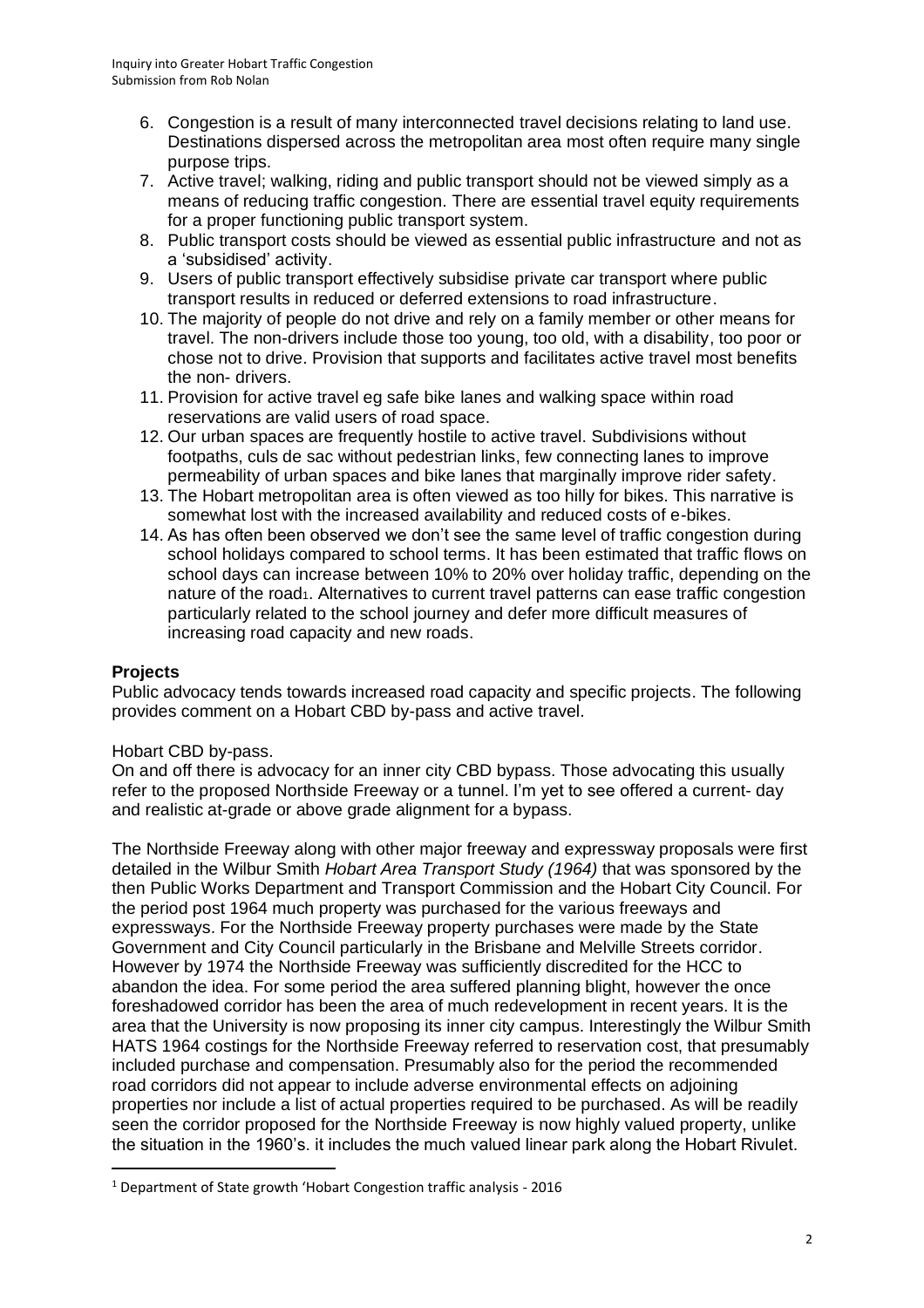- 6. Congestion is a result of many interconnected travel decisions relating to land use. Destinations dispersed across the metropolitan area most often require many single purpose trips.
- 7. Active travel; walking, riding and public transport should not be viewed simply as a means of reducing traffic congestion. There are essential travel equity requirements for a proper functioning public transport system.
- 8. Public transport costs should be viewed as essential public infrastructure and not as a 'subsidised' activity.
- 9. Users of public transport effectively subsidise private car transport where public transport results in reduced or deferred extensions to road infrastructure.
- 10. The majority of people do not drive and rely on a family member or other means for travel. The non-drivers include those too young, too old, with a disability, too poor or chose not to drive. Provision that supports and facilitates active travel most benefits the non- drivers.
- 11. Provision for active travel eg safe bike lanes and walking space within road reservations are valid users of road space.
- 12. Our urban spaces are frequently hostile to active travel. Subdivisions without footpaths, culs de sac without pedestrian links, few connecting lanes to improve permeability of urban spaces and bike lanes that marginally improve rider safety.
- 13. The Hobart metropolitan area is often viewed as too hilly for bikes. This narrative is somewhat lost with the increased availability and reduced costs of e-bikes.
- 14. As has often been observed we don't see the same level of traffic congestion during school holidays compared to school terms. It has been estimated that traffic flows on school days can increase between 10% to 20% over holiday traffic, depending on the nature of the road<sub>1</sub>. Alternatives to current travel patterns can ease traffic congestion particularly related to the school journey and defer more difficult measures of increasing road capacity and new roads.

# **Projects**

Public advocacy tends towards increased road capacity and specific projects. The following provides comment on a Hobart CBD by-pass and active travel.

#### Hobart CBD by-pass.

On and off there is advocacy for an inner city CBD bypass. Those advocating this usually refer to the proposed Northside Freeway or a tunnel. I'm yet to see offered a current- day and realistic at-grade or above grade alignment for a bypass.

The Northside Freeway along with other major freeway and expressway proposals were first detailed in the Wilbur Smith *Hobart Area Transport Study (1964)* that was sponsored by the then Public Works Department and Transport Commission and the Hobart City Council. For the period post 1964 much property was purchased for the various freeways and expressways. For the Northside Freeway property purchases were made by the State Government and City Council particularly in the Brisbane and Melville Streets corridor. However by 1974 the Northside Freeway was sufficiently discredited for the HCC to abandon the idea. For some period the area suffered planning blight, however the once foreshadowed corridor has been the area of much redevelopment in recent years. It is the area that the University is now proposing its inner city campus. Interestingly the Wilbur Smith HATS 1964 costings for the Northside Freeway referred to reservation cost, that presumably included purchase and compensation. Presumably also for the period the recommended road corridors did not appear to include adverse environmental effects on adjoining properties nor include a list of actual properties required to be purchased. As will be readily seen the corridor proposed for the Northside Freeway is now highly valued property, unlike the situation in the 1960's. it includes the much valued linear park along the Hobart Rivulet.

<sup>1</sup> Department of State growth 'Hobart Congestion traffic analysis - 2016